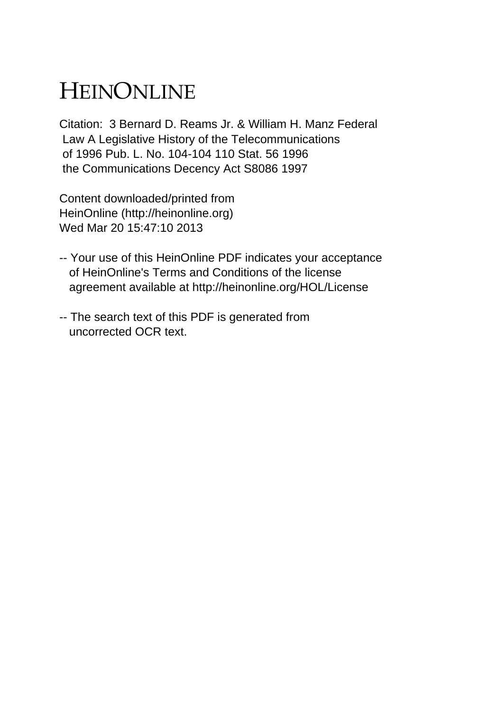## HEINONLINE

Citation: 3 Bernard D. Reams Jr. & William H. Manz Federal Law A Legislative History of the Telecommunications of 1996 Pub. L. No. 104-104 110 Stat. 56 1996 the Communications Decency Act S8086 1997

Content downloaded/printed from HeinOnline (http://heinonline.org) Wed Mar 20 15:47:10 2013

- -- Your use of this HeinOnline PDF indicates your acceptance of HeinOnline's Terms and Conditions of the license agreement available at http://heinonline.org/HOL/License
- -- The search text of this PDF is generated from uncorrected OCR text.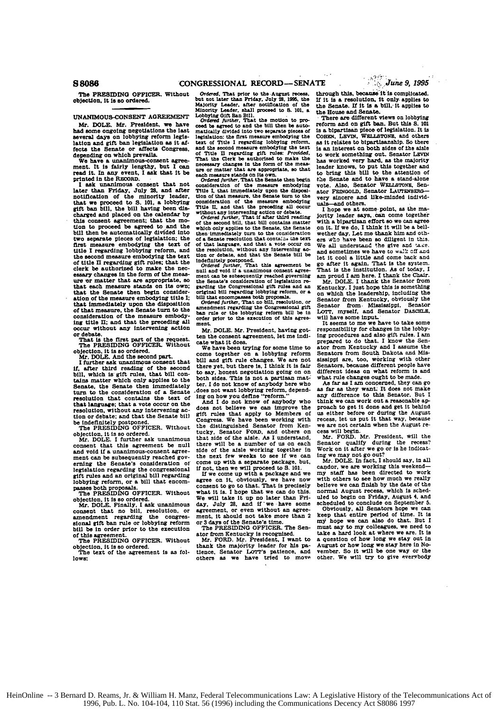**The** PRESIDING OFFICER. Without objection, it **is so** ordered.

**UNANIMOUS-CONSENT** AGREEMENT

Mr. **DOLE.** Mr. President. we have **had** some ongoing negotiations the last several **days** on lobbying reform **legis-**lation and gift ban legislation **as** it **affecte** the Senate or affects Congress. depending on which prevails.

We have **a** unanimous-consent agree-ment. It is fairly lengthy, but **I can** read it. In any event, **I** ask that it be

printed in the RECORD.<br>I ask unanimous consent that not<br>later than Friday, July 23, and after<br>notification of the minority leader,<br>that we proceed to S. 101, a lobbying<br>gift ban bill, the bill having been discharged and placed on the calendar **by** this consent agreement; that the motion to proceed be agreed to and the **bill** then be automatically divided into two separate pieces of legislation; the first measure embodying the text of **title I** regarding lobbying reform, and the second measure embodying the text of title **11** regarding gift rules; that the clerk be authorized to make the necessary changes in the form of the measure or matter that are appropriate, so that each measure stands on its own; that the Senate then begin consideration of the measure embodying title **I;** that immediately upon the disposition of that measure, the Senate turn to the consideration of the measure embodying title **II;** and that the preceding **all** occur without any Intervening action

or debate. That **is** the first part of the request. The PRESIDING **OFFICER.** Without

objection, it is so ordered.<br>Mr. **DOLE**. And the second part.

If further ask unanimous consent that<br>if, after third reading of the second **bill,** which is gift rules, that **bill** contains matter which only applies to the Senate. the Senate then immediately turn to the consideration of a Senate resolution that contains the text **of** that language; that a vote occur on the resolution, without **any** intervening **ac-**tion or debate: and that the Senate bill

be Indefinitely postponed. The PRESIDING OFFICER. Without objection. it is so ordered. Mr. **DOLE. I** further ask unanimous

consent that this agreement be null and void **if a** unanimous-consent agree**ment** can be subsequently reached governing the Senate's consideration **of** legislation regarding the congressional **gift** rules and an original **bill** regarding lobbying reform, or **a bill** that encompasses both proposals. The **PRESIDING** OFFICER. Without

objection, It is so ordered. Mr. **DOLE.** Finally, **I** ask unanimous consent that no **bill,** resolution, or amendment regarding the congressional gift ban rule or lobbying reform bill be In order prior to the execution

of this agreement. The PRESIDING OFFICER. Without

objection, It **is** so ordered. The text of the agreement is as **followu-** Ordered, That prior to the August recess. but net later than Friday. July 28. **15,** the Malority **Leader.** after **notiflcation** of the Minority Leader. shall **proceed** to **B. 101. a**

Lobbying **Olft** an Bill. Orded further, That the motion to pro-**need be** agreed to **and** the **bill** then **be** auto-matically divided into two separate pieces of legislation: the first measure **embodying** the text of **Title I** regarding **lobbying** reform. and the second measure embodying the text **of Title II** regarding gift rules: Provided, That the Clerk **be** authorized to make the necessary **changes in** the **form of** the **meas-ure** or matter that are appropriate, so that

each measure stands on Is own. Ordered further. That the Senate then begin consideration **of** the measure embodying Title **L** that Immediately upon the disposi**tion** of that measure, the Senate turn to the consideration **of** the measure embodying Title II. **and** that the preceding **all** occur without **any** intervening action or debate. Ordered *further.* That if after third reading

**of** the second **bill,** that **bill contains** matter which only **applies** to the Senate. the Senate then immediately turn to the consideration of **a** Senate resolution that contaz, **Lae** text **of** tnat language. **and** that **a** vote occur on the resolution, without **any** Intervening **an-**ton or debate. and that the Senate bill be

indefinitely postponed.<br>
Codered juriter, That this agreement be<br>
Codered juriter, That this agreement can be subsequently reached governing<br>
ment can be subsequently reached governing<br>
the Senate's consideration of legisl garding the Congreeslonal gift rules **and an** original **bill** regarding lobbying reform, or **a**

**bill** that encompasses both proposals. Ordered *further.* That no **bill,** resolution, or amendment regarding the Congresional **gift** ban **rule** or the lobbying reform **bill** be in order prier to the execution of this agree-**ment.**

Mr. **DOLE.** Mr. President, having gotten the consent agreement, let me indicate what it does.

We have been trying for some time to come together on a lobbying reform bill and **gift** rule changes. We are not there yet, **but** there is, **I** think It is fair to say. honest negotiation going on on both sides. This is not **a** partisan matr ter. **I** do not know of anybody here who **-does** not want lobbying reform, depend-ing on how you define "reform." And **I** do not know of anybody who

does not believe we can improve the **gift** rules that apply to Members of Congress. We have been working with the distinguished Senator from Kentucky. Senator FORD. and others on that side of the aisle. As **I** understand, there will be a number of us on each side of the aisle working together in the next few weeks to see If we can come up with **a** separate package, but, **if** not, then we will proceed to **S. 101.**

we come up with a package and we agree on It. obviously. we have now consent to go to that. That **Is** precisely what it is. **I** hope that we can do this. We will take it up no later than Friday. July **28,** and if'we have some agreement, or even without an agree**ment,** It should not take more than **<sup>2</sup>** or **3** days of the Senate's time.

The **PRESIDING** OFFICER. The Sen-

ator from Kentucky is recognized. Mr. FORD. Mr. President. **I** want to thank the majority leader for his **pa**tience. Senator **LOT'S** patience, and others as we have tried to move through this. because it **is** complicated. **If** it is **a** resolution. it **only** applies to the Senate. **If** it **is** a **bill.-** it applies to the House and Senate. **.** There are different views **on lobbying**

reform and on gift ban. But this **S. 101 is** a bipartisan **piece** of legislation. It is COHEN, LEVIN. **WELLSTOE,** and others **as** it relates to bipartisanship. So **there** Is an interest on both sides of the aisle to work something out. Senator **LEVIN has** worked very **hard,** as the majority leader knows. to put this together and to bring this **bill** to the attention of **Khe** Senate and to have **a** stand-alone vote. **Also,** Senator WELLSTON, Senator FEINGOLD. Senator LAUTENBERGvery **sincere** and like-minded individand others.

**I** hope we at some point, **as** the majority leader says, **.can** come together with a bipartisan effort so we can agree on it. If we do, I think it will be a bellwether **day.** Let me thank him and othwenter any, how he shall have been so diligent in this.<br>We all understand the give and take. and sometimes we have to walk off and let it cool a little and come back and go after it again. That **is** the system. That is the institution. As of today, **I** am proud **I** am here. **I** thank the Chair.

Mr. **DOLE. I** thank the Senator from Kentucky. **I** just hope this **Is** something on which the leadership, including the Senator from *Kentucky*, obviously the<br>Senator from- Mississippi. Senator<br>LOTT. myself, and Senator DASCELE. will have some input.<br>It seems to me we have to take some

responsibility for changes in the lobbying procedures and also **gift** rules. I am prepared to do that. I know the Senator from Kentucky and **I** assume the Senators from South Dakota **aud Ms**aissippi are, too, working with other Senators. because different people have different ideas on what reform Is and what rule changes ought to be made. As far as **I** am concerned, they can **go**

as far **as** they want. It does not make any difference to this Senator. But I think we can work out a reasonable approach to get it done and get it behind us either before or during the August recess, let us put it that way, because we are not certain when the August **re-**

**cess will begin.**<br>Mr. FORD. Mr. President, will the<br>Senator qualify during the recess?<br>Work on it after we go or is he indicat**ing** we may not go out? Mr. **DOLE.** In fact, **I** should say, **in all**

mi. DOLE. In fact, I should say, in all<br>candor, we are working this weekend-<br>my staff has been directed to work with others to see how **much** we really believe we can finish **by** the date of the normal August recess, which Is sched-uled to begin on Friday. August 4, and scheduled to conclude on September **5.**

Obviously, **all** Senators **hope** we can keep that entire period of time. It is my hope we can also **do** that. But **I** must say to my colleagues, we need to take a hard look at where we are. It is a question of how long we stay out in August or how long we stay here in No-<br>vember. So it will be one way or the<br>other. We will try to give everybody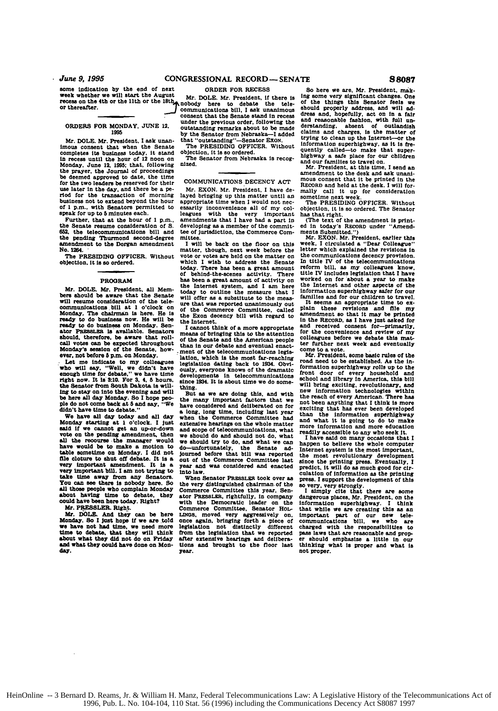some indication by the end of next ORDER FOR RECESS<br>
week whether we will start the August Mr. DOLE. Mr. President, if there is<br>
recess on the 4th or the 11th or the 18th, nobody here to debate the tele-<br>
or thereafter.<br>
C

Mr. DOLE. Mr. President, I ask unan-<br> **imous consent that "outstanding"-Senator EXON.**<br> **imous consent that when the Senate The PRESIDING OFFICER.** Without<br> **completes its business today**. It stand **Objection**, it is so or completes its business today, it stand objection, it is so ordered. In recess until the hour of 12 noon on The Senator from Nebraska is recog-<br>Mondey June 12 1094; that following nized. Monday, June 12, 1995; that, following<br>the prayer, the Journal of proceedings the deemed approved to date, the time<br>for the two leaders be reserved for their **COMMUNICATIONS** DECENCY ACT<br>use later in the day, and there be a pe-<br>riod for the transaction of morning laved bringing up this matter until

Further, that at the hour of 1 p.m., amendments that I have had a part in<br>the Senate resume consideration of S. developing as a member of the commit-<br>652, the telecommunications bill and tee of jurisdiction, the Commerce C

Mr. DOLE, Mr. President, all Mem-<br>
the Internet system, and I am here<br>
bers should be aware that the Senate will offer as a substitute to the measure<br>
will resume consideration of the tele-- ure that was reported unal<br>mon

but, increasing in the indicate to my colleagues legislation dating back to 1934. Obviously, when will asy, "Well, we didn't have ously, everyone knows of the dramatic right now. It is 3:10. For 3, 4, 5 hours, elevelopment

We have all day today and all day when the Commerce Committee had<br>Monday starting at 1 o'clock. I just extendive hearings on the whole matter<br>and if we cannot get 1 o'clock. I just extendive hearings on the whole matter<br>v

**CONSERS FOR MONDAY, JUNE 12.** under the previous order, following the ORDERS FOR MONDAY, JUNE 12. under the previous order, following the 1995 by the Senator from Nebraska-I added<br>Mr. DOLE. Mr. President. I ask unan- that "outstanding"-Senator Exon.

riod for the transaction of morning layed bringing up this matter until an business not to extend beyond the hour appropriate time when I would not not in propriet the of 1 p.m., with Senators permitted to essarily inconv

objection, it is so ordered. which **I** wish to address the Senate today. There has been a great amount of activity. There has been a great amount of activity. There has been a great amount of activity.

he here all day Monday. So I hope peo-<br>the many important factors that we ple do not come back at 5 and say, "We have considered and deliberated on for<br>didn't have time to debate."<br>We have considered and deliberated on for

mer. PHE-SOLER. Hight.<br>
Mr. DOLER. And they can be here LINGS, moved very aggressively on.<br>
Monday. So I just hope if we are told once again, bringing forth a piece of<br>
we have not had time, we need more legislation not di

**88087**<br>So here we are, Mr. President, mak-So nere we are, Mr. President, max-<br>ing some very significant changes. One<br>of the things this Senator feels we<br>should properly address, and will address and, hopefully, act on in a fair<br>and reasonable fashion, with hull un

(The text of the amendment is print-<br>
ed in today's RECORD under "Amend-<br>
nents Submitted.")<br>
Mr. EXON. Mr. President, carlier this<br>
week, I circulated a "Dear Colleague"<br>
the exhibit and the revisions in<br>
the communicati

answer of the wave control of the wave of the third while we are centring this as an important part of our new whole-<br>important part of our new whole-<br>charged with the responsibilities to<br>charged with the responsibilities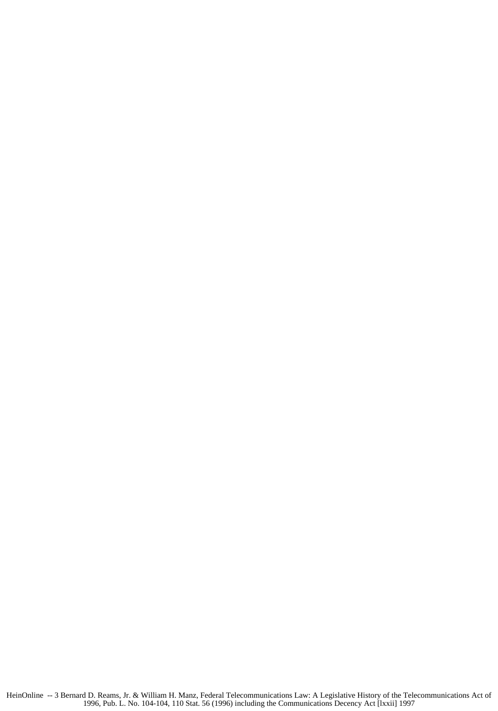HeinOnline -- 3 Bernard D. Reams, Jr. & William H. Manz, Federal Telecommunications Law: A Legislative History of the Telecommunications Act of 1996, Pub. L. No. 104-104, 110 Stat. 56 (1996) including the Communications Decency Act [lxxii] 1997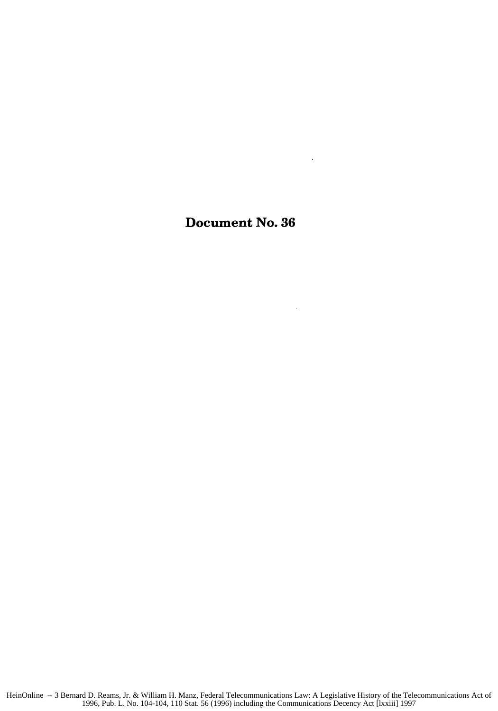## Document No. **36**